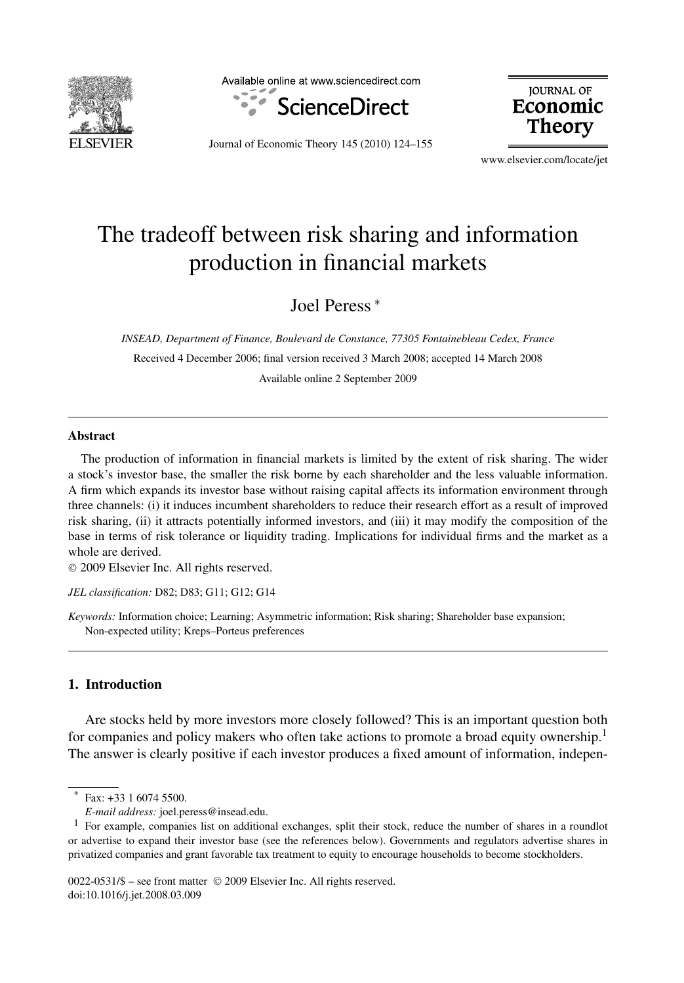

Available online at www.sciencedirect.com



Journal of Economic Theory 145 (2010) 124–155

**JOURNAL OF** Economic **Theory** 

www.elsevier.com/locate/jet

## The tradeoff between risk sharing and information production in financial markets

Joel Peress <sup>∗</sup>

*INSEAD, Department of Finance, Boulevard de Constance, 77305 Fontainebleau Cedex, France* Received 4 December 2006; final version received 3 March 2008; accepted 14 March 2008 Available online 2 September 2009

## **Abstract**

The production of information in financial markets is limited by the extent of risk sharing. The wider a stock's investor base, the smaller the risk borne by each shareholder and the less valuable information. A firm which expands its investor base without raising capital affects its information environment through three channels: (i) it induces incumbent shareholders to reduce their research effort as a result of improved risk sharing, (ii) it attracts potentially informed investors, and (iii) it may modify the composition of the base in terms of risk tolerance or liquidity trading. Implications for individual firms and the market as a whole are derived.

© 2009 Elsevier Inc. All rights reserved.

*JEL classification:* D82; D83; G11; G12; G14

*Keywords:* Information choice; Learning; Asymmetric information; Risk sharing; Shareholder base expansion; Non-expected utility; Kreps–Porteus preferences

## **1. Introduction**

Are stocks held by more investors more closely followed? This is an important question both for companies and policy makers who often take actions to promote a broad equity ownership.<sup>1</sup> The answer is clearly positive if each investor produces a fixed amount of information, indepen-

0022-0531/\$ – see front matter © 2009 Elsevier Inc. All rights reserved. doi:10.1016/j.jet.2008.03.009

<sup>\*</sup> Fax: +33 1 6074 5500.

*E-mail address:* joel.peress@insead.edu.

<sup>&</sup>lt;sup>1</sup> For example, companies list on additional exchanges, split their stock, reduce the number of shares in a roundlot or advertise to expand their investor base (see the references below). Governments and regulators advertise shares in privatized companies and grant favorable tax treatment to equity to encourage households to become stockholders.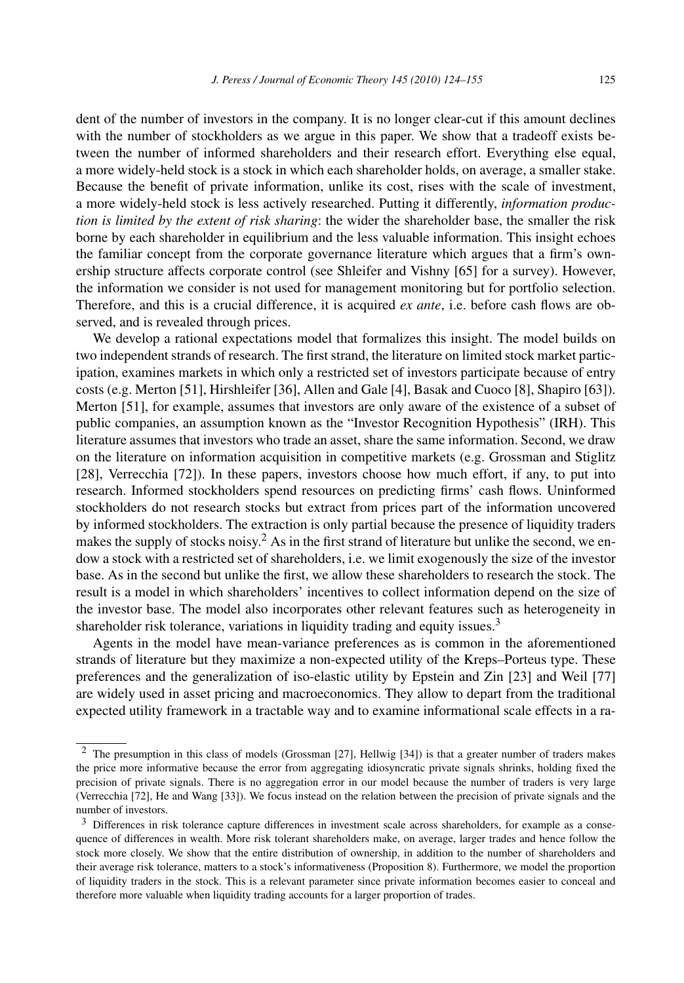dent of the number of investors in the company. It is no longer clear-cut if this amount declines with the number of stockholders as we argue in this paper. We show that a tradeoff exists between the number of informed shareholders and their research effort. Everything else equal, a more widely-held stock is a stock in which each shareholder holds, on average, a smaller stake. Because the benefit of private information, unlike its cost, rises with the scale of investment, a more widely-held stock is less actively researched. Putting it differently, *information production is limited by the extent of risk sharing*: the wider the shareholder base, the smaller the risk borne by each shareholder in equilibrium and the less valuable information. This insight echoes the familiar concept from the corporate governance literature which argues that a firm's ownership structure affects corporate control (see Shleifer and Vishny [65] for a survey). However, the information we consider is not used for management monitoring but for portfolio selection. Therefore, and this is a crucial difference, it is acquired *ex ante*, i.e. before cash flows are observed, and is revealed through prices.

We develop a rational expectations model that formalizes this insight. The model builds on two independent strands of research. The first strand, the literature on limited stock market participation, examines markets in which only a restricted set of investors participate because of entry costs (e.g. Merton [51], Hirshleifer [36], Allen and Gale [4], Basak and Cuoco [8], Shapiro [63]). Merton [51], for example, assumes that investors are only aware of the existence of a subset of public companies, an assumption known as the "Investor Recognition Hypothesis" (IRH). This literature assumes that investors who trade an asset, share the same information. Second, we draw on the literature on information acquisition in competitive markets (e.g. Grossman and Stiglitz [28], Verrecchia [72]). In these papers, investors choose how much effort, if any, to put into research. Informed stockholders spend resources on predicting firms' cash flows. Uninformed stockholders do not research stocks but extract from prices part of the information uncovered by informed stockholders. The extraction is only partial because the presence of liquidity traders makes the supply of stocks noisy.<sup>2</sup> As in the first strand of literature but unlike the second, we endow a stock with a restricted set of shareholders, i.e. we limit exogenously the size of the investor base. As in the second but unlike the first, we allow these shareholders to research the stock. The result is a model in which shareholders' incentives to collect information depend on the size of the investor base. The model also incorporates other relevant features such as heterogeneity in shareholder risk tolerance, variations in liquidity trading and equity issues.<sup>3</sup>

Agents in the model have mean-variance preferences as is common in the aforementioned strands of literature but they maximize a non-expected utility of the Kreps–Porteus type. These preferences and the generalization of iso-elastic utility by Epstein and Zin [23] and Weil [77] are widely used in asset pricing and macroeconomics. They allow to depart from the traditional expected utility framework in a tractable way and to examine informational scale effects in a ra-

 $2$  The presumption in this class of models (Grossman [27], Hellwig [34]) is that a greater number of traders makes the price more informative because the error from aggregating idiosyncratic private signals shrinks, holding fixed the precision of private signals. There is no aggregation error in our model because the number of traders is very large (Verrecchia [72], He and Wang [33]). We focus instead on the relation between the precision of private signals and the number of investors.

<sup>&</sup>lt;sup>3</sup> Differences in risk tolerance capture differences in investment scale across shareholders, for example as a consequence of differences in wealth. More risk tolerant shareholders make, on average, larger trades and hence follow the stock more closely. We show that the entire distribution of ownership, in addition to the number of shareholders and their average risk tolerance, matters to a stock's informativeness (Proposition 8). Furthermore, we model the proportion of liquidity traders in the stock. This is a relevant parameter since private information becomes easier to conceal and therefore more valuable when liquidity trading accounts for a larger proportion of trades.